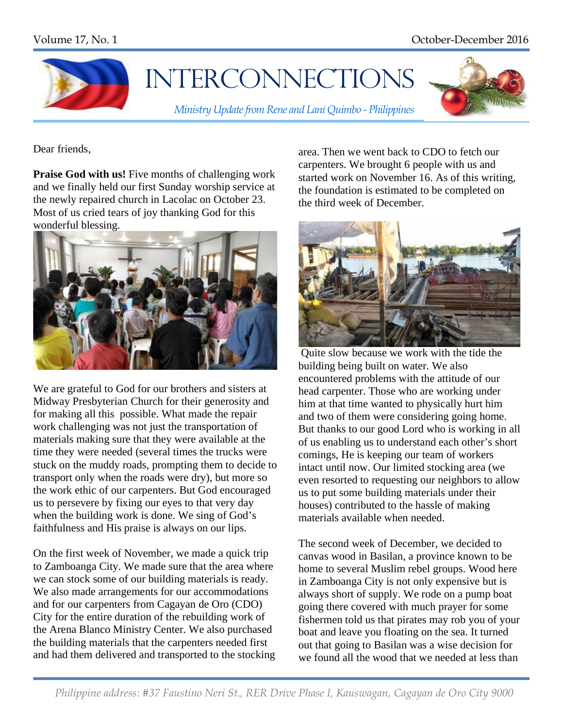

## **INTERCONNECTIONS**

*Ministry Update from Rene and Lani Quimbo - Philippines*



Dear friends,

**Praise God with us!** Five months of challenging work and we finally held our first Sunday worship service at the newly repaired church in Lacolac on October 23. Most of us cried tears of joy thanking God for this wonderful blessing.



We are grateful to God for our brothers and sisters at Midway Presbyterian Church for their generosity and for making all this possible. What made the repair work challenging was not just the transportation of materials making sure that they were available at the time they were needed (several times the trucks were stuck on the muddy roads, prompting them to decide to transport only when the roads were dry), but more so the work ethic of our carpenters. But God encouraged us to persevere by fixing our eyes to that very day when the building work is done. We sing of God's faithfulness and His praise is always on our lips.

On the first week of November, we made a quick trip to Zamboanga City. We made sure that the area where we can stock some of our building materials is ready. We also made arrangements for our accommodations and for our carpenters from Cagayan de Oro (CDO) City for the entire duration of the rebuilding work of the Arena Blanco Ministry Center. We also purchased the building materials that the carpenters needed first and had them delivered and transported to the stocking area. Then we went back to CDO to fetch our carpenters. We brought 6 people with us and started work on November 16. As of this writing, the foundation is estimated to be completed on the third week of December.



Quite slow because we work with the tide the building being built on water. We also encountered problems with the attitude of our head carpenter. Those who are working under him at that time wanted to physically hurt him and two of them were considering going home. But thanks to our good Lord who is working in all of us enabling us to understand each other's short comings, He is keeping our team of workers intact until now. Our limited stocking area (we even resorted to requesting our neighbors to allow us to put some building materials under their houses) contributed to the hassle of making materials available when needed.

The second week of December, we decided to canvas wood in Basilan, a province known to be home to several Muslim rebel groups. Wood here in Zamboanga City is not only expensive but is always short of supply. We rode on a pump boat going there covered with much prayer for some fishermen told us that pirates may rob you of your boat and leave you floating on the sea. It turned out that going to Basilan was a wise decision for we found all the wood that we needed at less than